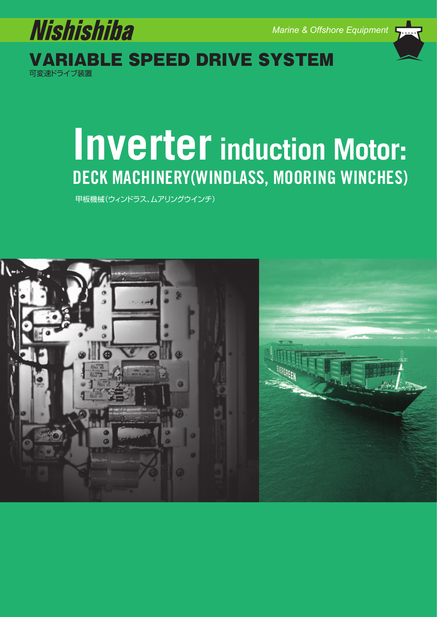

可変速ドライブ装置 RIABLE SPEED DRIVE SYSTEM

# **Inverter induction Motor: DECK MACHINERY(WINDLASS, MOORING WINCHES)**

甲板機械(ウィンドラス、ムアリングウインチ)

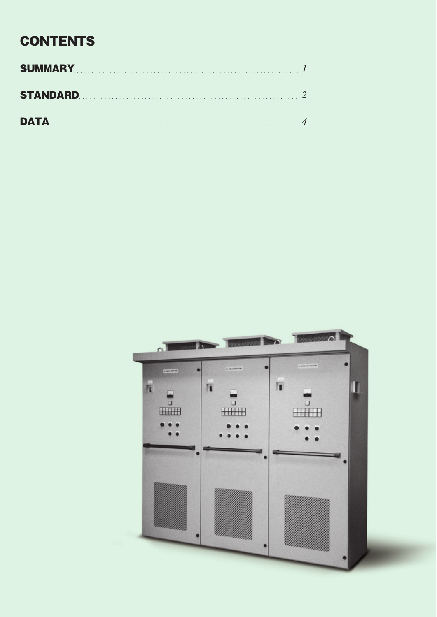## **CONTENTS**

| STANDARD 2 |  |
|------------|--|
|            |  |

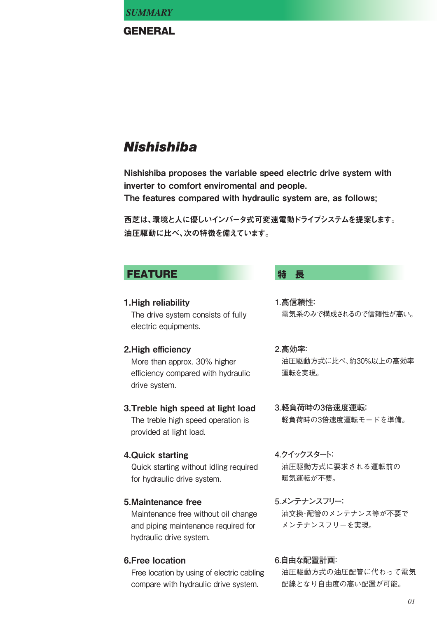#### **GENERAL**

## **Nishishiba**

Nishishiba proposes the variable speed electric drive system with inverter to comfort enviromental and people.

The features compared with hydraulic system are, as follows;

西芝は、環境と人に優しいインバータ式可変速電動ドライブシステムを提案します。 油圧駆動に比べ、次の特徴を備えています。

### **FEATURE ままり 特 長**

#### 1.High reliability The drive system consists of fully electric equipments.

#### 2.High efficiency

More than approx. 30% higher efficiency compared with hydraulic drive system.

#### 3.Treble high speed at light load The treble high speed operation is

provided at light load.

#### 4.Quick starting

Quick starting without idling required for hydraulic drive system.

#### 5.Maintenance free

Maintenance free without oil change and piping maintenance required for hydraulic drive system.

#### 6.Free location

Free location by using of electric cabling compare with hydraulic drive system.

- **1.高信頼性:** 電気系のみで構成されるので信頼性が高い。
- **2.高効率:**

油圧駆動方式に比べ、約30%以上の高効率 運転を実現。

- **3.軽負荷時の3倍速度運転:** 軽負荷時の3倍速度運転モードを準備。
- **4.クイックスタート:** 油圧駆動方式に要求される運転前の 暖気運転が不要。
- **5.メンテナンスフリー:** 油交換・配管のメンテナンス等が不要で メンテナンスフリーを実現。

#### **6.自由な配置計画:**

油圧駆動方式の油圧配管に代わって電気 配線となり自由度の高い配置が可能。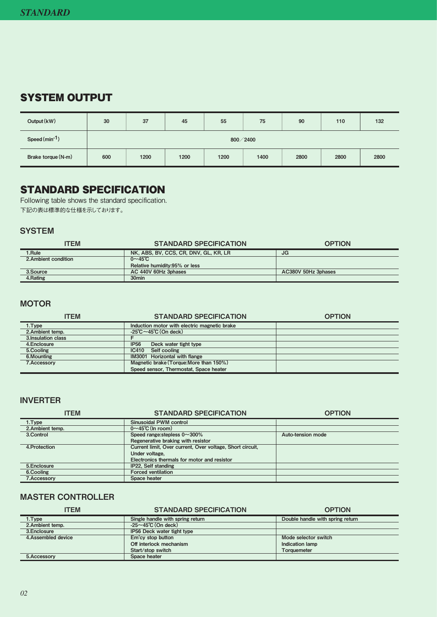### SYSTEM OUTPUT

| Output (kW)        | 30         | 37   | 45   | 55   | 75   | 90   | 110  | 132  |
|--------------------|------------|------|------|------|------|------|------|------|
| Speed (min-1)      | 800 / 2400 |      |      |      |      |      |      |      |
| Brake torque (N-m) | 600        | 1200 | 1200 | 1200 | 1400 | 2800 | 2800 | 2800 |

### STANDARD SPECIFICATION

Following table shows the standard specification. 下記の表は標準的な仕様を示しております。

#### **SYSTEM**

| <b>ITEM</b>          | <b>STANDARD SPECIFICATION</b>         | <b>OPTION</b>       |
|----------------------|---------------------------------------|---------------------|
| 1.Rule               | NK, ABS, BV, CCS, CR, DNV, GL, KR, LR | JG                  |
| 2. Ambient condition | $0 \sim 45$ °C                        |                     |
|                      | Relative humidity: 95% or less        |                     |
| 3.Source             | AC 440V 60Hz 3phases                  | AC380V 50Hz 3phases |
| 4.Rating             | 30 <sub>min</sub>                     |                     |

#### **MOTOR**

| <b>ITEM</b>         | <b>STANDARD SPECIFICATION</b>                | <b>OPTION</b> |
|---------------------|----------------------------------------------|---------------|
| 1.Type              | Induction motor with electric magnetic brake |               |
| 2. Ambient temp.    | $-25^{\circ}$ C ~45 $^{\circ}$ C (On deck)   |               |
| 3. Insulation class |                                              |               |
| 4. Enclosure        | <b>IP56</b><br>Deck water tight type         |               |
| 5.Cooling           | Self cooling<br>IC410                        |               |
| 6.Mounting          | IM3001 Horizontal with flange                |               |
| 7.Accessory         | Magnetic brake (Torque: More than 150%)      |               |
|                     | Speed sensor. Thermostat. Space heater       |               |

#### INVERTER

| <b>ITEM</b>        | <b>STANDARD SPECIFICATION</b>                             | <b>OPTION</b>     |
|--------------------|-----------------------------------------------------------|-------------------|
| 1.Type             | <b>Sinusoidal PWM control</b>                             |                   |
| 2. Ambient temp.   | $0 \sim 45^{\circ}$ C (In room)                           |                   |
| 3.Control          | Speed range: stepless $0 \sim 300\%$                      | Auto-tension mode |
|                    | Regenerative braking with resistor                        |                   |
| 4. Protection      | Current limit, Over current, Over voltage, Short circuit, |                   |
|                    | Under voltage.                                            |                   |
|                    | Electronics thermals for motor and resistor               |                   |
| 5.Enclosure        | IP22. Self standing                                       |                   |
| 6.Cooling          | <b>Forced ventilation</b>                                 |                   |
| <b>7.Accessory</b> | Space heater                                              |                   |

#### MASTER CONTROLLER

| <b>ITEM</b>         | <b>STANDARD SPECIFICATION</b>     | <b>OPTION</b>                    |
|---------------------|-----------------------------------|----------------------------------|
| 1.Type              | Single handle with spring return  | Double handle with spring return |
| 2. Ambient temp.    | $-25 \sim 45^{\circ}$ C (On deck) |                                  |
| 3. Enclosure        | IP56 Deck water tight type        |                                  |
| 4. Assembled device | Em'cy stop button                 | Mode selector switch             |
|                     | Off interlock mechanism           | Indication lamp                  |
|                     | Start/stop switch                 | <b>Torquemeter</b>               |
| 5.Accessory         | Space heater                      |                                  |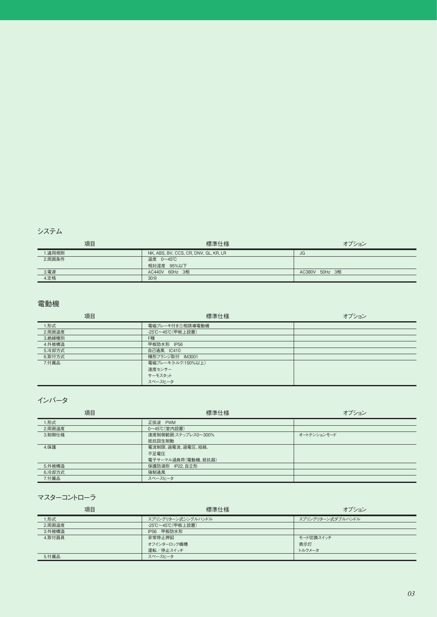| 項目           | 標準仕様                                  | オプション          |
|--------------|---------------------------------------|----------------|
| 1.適用規則       | NK, ABS, BV, CCS, CR, DNV, GL, KR, LR | <b>JG</b>      |
| 2.周囲条件       | 温度 0~45℃                              |                |
|              | 相対湿度 95%以下                            |                |
| 3.電源<br>4.定格 | AC440V 60Hz 3相                        | AC380V 50Hz 3相 |
|              | 30分                                   |                |

#### 電動機

| 項目     | 標準仕様               | オプション |
|--------|--------------------|-------|
| 1.形式   | 電磁ブレーキ付き三相誘導電動機    |       |
| 2.周囲温度 | -25℃~45℃ (甲板上設置)   |       |
| 3.絶縁種別 | F種                 |       |
| 4.外被構造 | 甲板防水形 IP56         |       |
| 5.冷却方式 | 自己通風 IC410         |       |
| 6.取付方式 | 横形フランジ取付 IM3001    |       |
| 7.付属品  | 電磁ブレーキ(トルク:150%以上) |       |
|        | 速度センサー             |       |
|        | サーモスタット            |       |
|        | スペースヒータ            |       |

インバータ

| 項目     | 標準仕様                | オプション       |
|--------|---------------------|-------------|
| 1.形式   | 正弦波 PWM             |             |
| 2.周囲温度 | 0~45℃ (室内設置)        |             |
| 3.制御仕様 | 速度制御範囲:ステップレス0~300% | オートテンションモード |
|        | 抵抗回生制動              |             |
| 4.保護   | 電流制限、過電流、過電圧、短絡、    |             |
|        | 不足電圧                |             |
|        | 電子サーマル過負荷(電動機、抵抗器)  |             |
| 5.外被構造 | 保護防滴形 IP22、自立形      |             |
| 6.冷却方式 | 強制通風                |             |
| 7.付属品  | スペースヒータ             |             |

マスターコントローラ

| 項目     | 標準仕様               | オプション             |
|--------|--------------------|-------------------|
| 1.形式   | スプリングリターン式シングルハンドル | スプリングリターン式ダブルハンドル |
| 2.周囲温度 | -25℃~45℃ (甲板上設置)   |                   |
| 3.外被構造 | IP56 甲板防水形         |                   |
| 4.取付器具 | 非常停止押釦             | モード切換スイッチ         |
|        | オフインターロック機構        | 表示灯               |
|        | 運転/停止スイッチ          | トルクメータ            |
| 5.付属品  | スペースヒータ            |                   |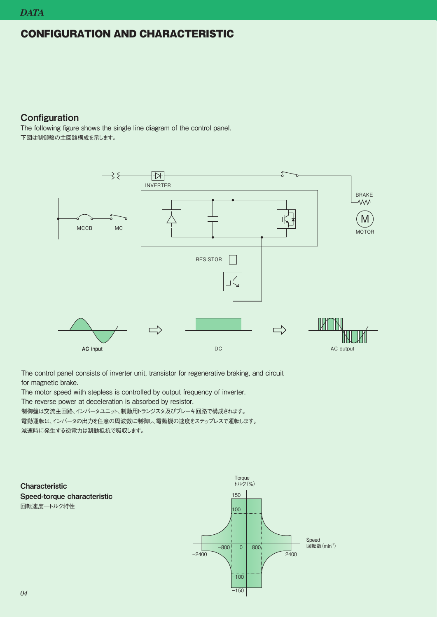#### CONFIGURATION AND CHARACTERISTIC

#### **Configuration**

The following figure shows the single line diagram of the control panel. 下図は制御盤の主回路構成を示します。



The control panel consists of inverter unit, transistor for regenerative braking, and circuit for magnetic brake.

The motor speed with stepless is controlled by output frequency of inverter.

The reverse power at deceleration is absorbed by resistor.

制御盤は交流主回路、インバータユニット、制動用トランジスタ及びブレーキ回路で構成されます。

電動運転は、インバータの出力を任意の周波数に制御し、電動機の速度をステップレスで運転します。

減速時に発生する逆電力は制動抵抗で吸収します。

#### **Characteristic** Speed-torque characteristic 回転速度––トルク特性

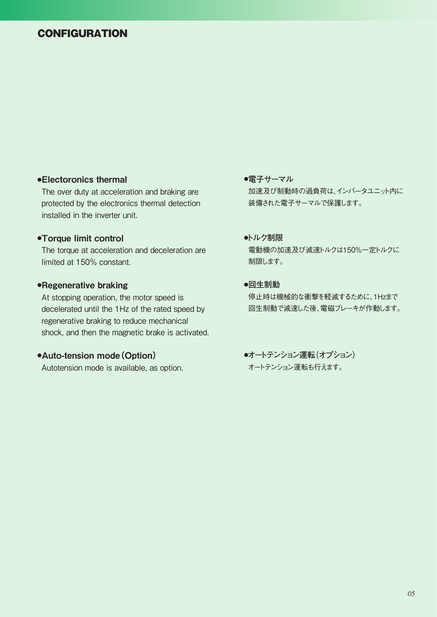#### **CONFIGURATION**

#### **●**Electoronics thermal

The over duty at acceleration and braking are protected by the electronics thermal detection installed in the inverter unit.

#### **●**Torque limit control

The torque at acceleration and deceleration are limited at 150% constant.

#### **●**Regenerative braking

At stopping operation, the motor speed is decelerated until the 1Hz of the rated speed by regenerative braking to reduce mechanical shock, and then the magnetic brake is activated.

#### **●**Auto-tension mode(Option)

Autotension mode is available, as option.

#### **●電子サーマル** 加速及び制動時の過負荷は、インバータユニット内に 装備された電子サーマルで保護します。

#### **●トルク制限**

電動機の加速及び減速トルクは150%一定トルクに 制限します。

#### **●回生制動**

停止時は機械的な衝撃を軽減するために、1Hzまで 回生制動で減速した後、電磁ブレーキが作動します。

**●オートテンション運転(オプション)** オートテンション運転も行えます。